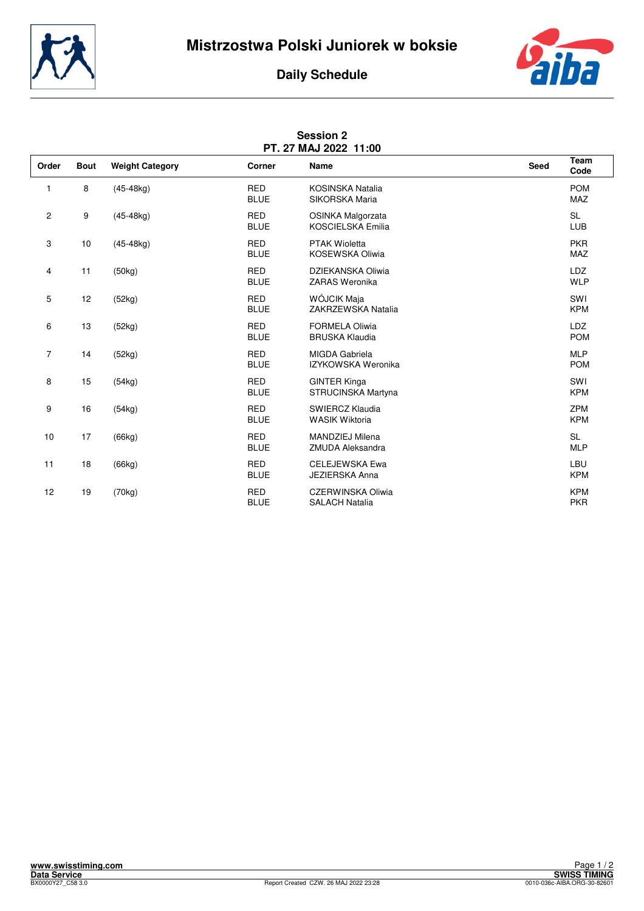



## **Daily Schedule**

| PT. 27 MAJ 2022 11:00   |             |                        |                           |                                                   |      |                          |  |  |  |  |
|-------------------------|-------------|------------------------|---------------------------|---------------------------------------------------|------|--------------------------|--|--|--|--|
| Order                   | <b>Bout</b> | <b>Weight Category</b> | Corner                    | Name                                              | Seed | Team<br>Code             |  |  |  |  |
| 1                       | 8           | $(45-48kg)$            | <b>RED</b><br><b>BLUE</b> | <b>KOSINSKA Natalia</b><br>SIKORSKA Maria         |      | <b>POM</b><br><b>MAZ</b> |  |  |  |  |
| $\overline{\mathbf{c}}$ | 9           | $(45-48kq)$            | <b>RED</b><br><b>BLUE</b> | OSINKA Malgorzata<br><b>KOSCIELSKA Emilia</b>     |      | <b>SL</b><br>LUB         |  |  |  |  |
| 3                       | 10          | $(45-48kg)$            | <b>RED</b><br><b>BLUE</b> | <b>PTAK Wioletta</b><br>KOSEWSKA Oliwia           |      | <b>PKR</b><br>MAZ        |  |  |  |  |
| 4                       | 11          | (50kg)                 | <b>RED</b><br><b>BLUE</b> | DZIEKANSKA Oliwia<br>ZARAS Weronika               |      | <b>LDZ</b><br><b>WLP</b> |  |  |  |  |
| 5                       | 12          | (52kg)                 | <b>RED</b><br><b>BLUE</b> | WÓJCIK Maja<br>ZAKRZEWSKA Natalia                 |      | SWI<br><b>KPM</b>        |  |  |  |  |
| 6                       | 13          | (52kg)                 | <b>RED</b><br><b>BLUE</b> | <b>FORMELA Oliwia</b><br><b>BRUSKA Klaudia</b>    |      | <b>LDZ</b><br><b>POM</b> |  |  |  |  |
| 7                       | 14          | (52kg)                 | <b>RED</b><br><b>BLUE</b> | <b>MIGDA Gabriela</b><br>IZYKOWSKA Weronika       |      | <b>MLP</b><br><b>POM</b> |  |  |  |  |
| 8                       | 15          | (54kg)                 | <b>RED</b><br><b>BLUE</b> | <b>GINTER Kinga</b><br>STRUCINSKA Martyna         |      | SWI<br><b>KPM</b>        |  |  |  |  |
| 9                       | 16          | (54kg)                 | <b>RED</b><br><b>BLUE</b> | SWIERCZ Klaudia<br><b>WASIK Wiktoria</b>          |      | <b>ZPM</b><br><b>KPM</b> |  |  |  |  |
| 10                      | 17          | (66kg)                 | <b>RED</b><br><b>BLUE</b> | MANDZIEJ Milena<br><b>ZMUDA Aleksandra</b>        |      | <b>SL</b><br><b>MLP</b>  |  |  |  |  |
| 11                      | 18          | (66kg)                 | <b>RED</b><br><b>BLUE</b> | <b>CELEJEWSKA Ewa</b><br><b>JEZIERSKA Anna</b>    |      | LBU<br><b>KPM</b>        |  |  |  |  |
| 12                      | 19          | (70kg)                 | <b>RED</b><br><b>BLUE</b> | <b>CZERWINSKA Oliwia</b><br><b>SALACH Natalia</b> |      | <b>KPM</b><br><b>PKR</b> |  |  |  |  |

## **Session 2**